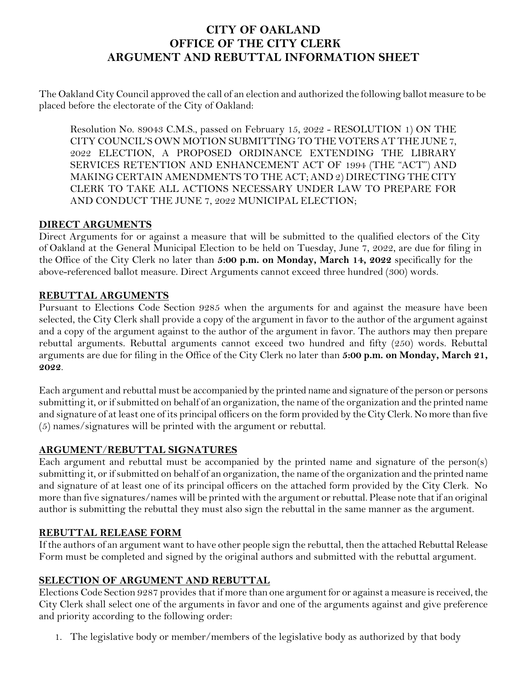## **CITY OF OAKLAND OFFICE OF THE CITY CLERK ARGUMENT AND REBUTTAL INFORMATION SHEET**

The Oakland City Council approved the call of an election and authorized the following ballot measure to be placed before the electorate of the City of Oakland:

Resolution No. 89043 C.M.S., passed on February 15, 2022 - RESOLUTION 1) ON THE CITY COUNCIL'S OWN MOTION SUBMITTING TO THE VOTERS AT THE JUNE 7, 2022 ELECTION, A PROPOSED ORDINANCE EXTENDING THE LIBRARY SERVICES RETENTION AND ENHANCEMENT ACT OF 1994 (THE "ACT") AND MAKING CERTAIN AMENDMENTS TO THE ACT; AND 2) DIRECTING THE CITY CLERK TO TAKE ALL ACTIONS NECESSARY UNDER LAW TO PREPARE FOR AND CONDUCT THE JUNE 7, 2022 MUNICIPAL ELECTION;

## **DIRECT ARGUMENTS**

Direct Arguments for or against a measure that will be submitted to the qualified electors of the City of Oakland at the General Municipal Election to be held on Tuesday, June 7, 2022, are due for filing in the Office of the City Clerk no later than **5:00 p.m. on Monday, March 14, 2022** specifically for the above-referenced ballot measure. Direct Arguments cannot exceed three hundred (300) words.

## **REBUTTAL ARGUMENTS**

Pursuant to Elections Code Section 9285 when the arguments for and against the measure have been selected, the City Clerk shall provide a copy of the argument in favor to the author of the argument against and a copy of the argument against to the author of the argument in favor. The authors may then prepare rebuttal arguments. Rebuttal arguments cannot exceed two hundred and fifty (250) words. Rebuttal arguments are due for filing in the Office of the City Clerk no later than **5:00 p.m. on Monday, March 21, 2022**.

Each argument and rebuttal must be accompanied by the printed name and signature of the person or persons submitting it, or if submitted on behalf of an organization, the name of the organization and the printed name and signature of at least one of its principal officers on the form provided by the City Clerk. No more than five (5) names/signatures will be printed with the argument or rebuttal.

## **ARGUMENT**/**REBUTTAL SIGNATURES**

Each argument and rebuttal must be accompanied by the printed name and signature of the person(s) submitting it, or if submitted on behalf of an organization, the name of the organization and the printed name and signature of at least one of its principal officers on the attached form provided by the City Clerk. No more than five signatures/names will be printed with the argument or rebuttal. Please note that if an original author is submitting the rebuttal they must also sign the rebuttal in the same manner as the argument.

## **REBUTTAL RELEASE FORM**

If the authors of an argument want to have other people sign the rebuttal, then the attached Rebuttal Release Form must be completed and signed by the original authors and submitted with the rebuttal argument.

## **SELECTION OF ARGUMENT AND REBUTTAL**

Elections Code Section 9287 provides that if more than one argument for or against a measure is received, the City Clerk shall select one of the arguments in favor and one of the arguments against and give preference and priority according to the following order:

1. The legislative body or member/members of the legislative body as authorized by that body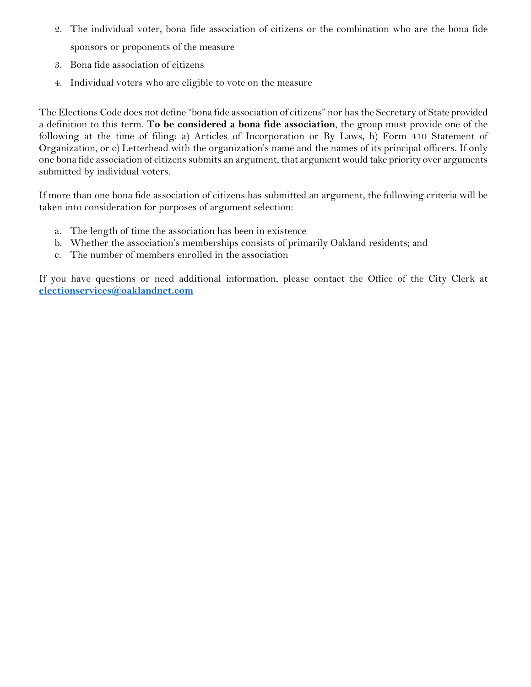- 2. The individual voter, bona fide association of citizens or the combination who are the bona fide sponsors or proponents of the measure
- 3. Bona fide association of citizens
- 4. Individual voters who are eligible to vote on the measure

The Elections Code does not define "bona fide association of citizens" nor has the Secretary of State provided a definition to this term. **To be considered a bona fide association**, the group must provide one of the following at the time of filing: a) Articles of Incorporation or By Laws, b) Form 410 Statement of Organization, or c) Letterhead with the organization's name and the names of its principal officers. If only one bona fide association of citizens submits an argument, that argument would take priority over arguments submitted by individual voters.

If more than one bona fide association of citizens has submitted an argument, the following criteria will be taken into consideration for purposes of argument selection:

- a. The length of time the association has been in existence
- b. Whether the association's memberships consists of primarily Oakland residents; and
- c. The number of members enrolled in the association

If you have questions or need additional information, please contact the Office of the City Clerk at **[electionservices@oaklandnet.com](mailto:electionservices@oaklandnet.com)**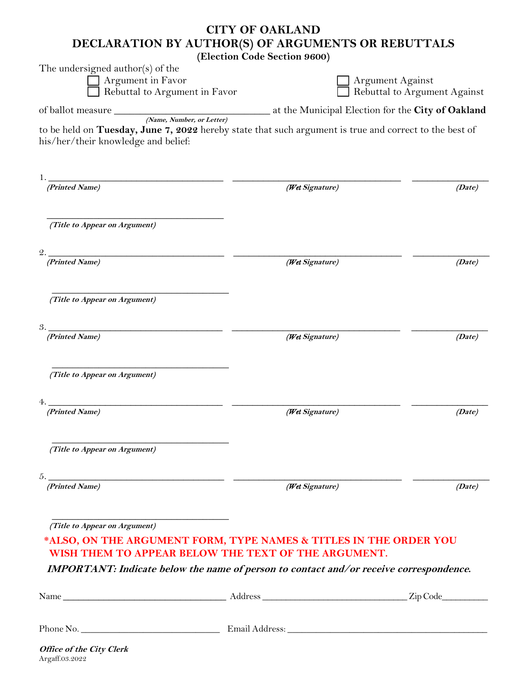## **CITY OF OAKLAND DECLARATION BY AUTHOR(S) OF ARGUMENTS OR REBUTTALS**

**(Election Code Section 9600)**

| The undersigned author(s) of the                                                                                                              |                                                   |                                                  |  |  |
|-----------------------------------------------------------------------------------------------------------------------------------------------|---------------------------------------------------|--------------------------------------------------|--|--|
| Argument in Favor<br>Rebuttal to Argument in Favor                                                                                            |                                                   | Argument Against<br>Rebuttal to Argument Against |  |  |
|                                                                                                                                               |                                                   |                                                  |  |  |
|                                                                                                                                               | at the Municipal Election for the City of Oakland |                                                  |  |  |
| to be held on Tuesday, June 7, 2022 hereby state that such argument is true and correct to the best of<br>his/her/their knowledge and belief: |                                                   |                                                  |  |  |
| (Printed Name)                                                                                                                                | (Wet Signature)                                   | (Date)                                           |  |  |
| (Title to Appear on Argument)                                                                                                                 |                                                   |                                                  |  |  |
| 2.<br>(Printed Name)                                                                                                                          | (Wet Signature)                                   | (Date)                                           |  |  |
| (Title to Appear on Argument)                                                                                                                 |                                                   |                                                  |  |  |
| 3.<br>(Printed Name)                                                                                                                          | (Wet Signature)                                   | (Date)                                           |  |  |
| (Title to Appear on Argument)                                                                                                                 |                                                   |                                                  |  |  |
| (Printed Name)                                                                                                                                | (Wet Signature)                                   | (Date)                                           |  |  |
| (Title to Appear on Argument)                                                                                                                 |                                                   |                                                  |  |  |
| (Printed Name)                                                                                                                                | (Wet Signature)                                   | (Date)                                           |  |  |
| (Title to Appear on Argument)                                                                                                                 |                                                   |                                                  |  |  |
| *ALSO, ON THE ARGUMENT FORM, TYPE NAMES & TITLES IN THE ORDER YOU<br>WISH THEM TO APPEAR BELOW THE TEXT OF THE ARGUMENT.                      |                                                   |                                                  |  |  |
| IMPORTANT: Indicate below the name of person to contact and/or receive correspondence.                                                        |                                                   |                                                  |  |  |
|                                                                                                                                               |                                                   |                                                  |  |  |
|                                                                                                                                               |                                                   |                                                  |  |  |
| <b>Office of the City Clerk</b>                                                                                                               |                                                   |                                                  |  |  |

Argaff.03.2022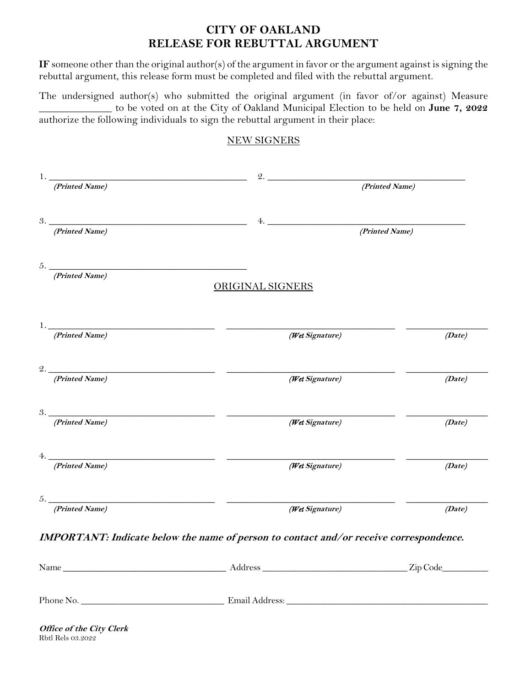## **CITY OF OAKLAND RELEASE FOR REBUTTAL ARGUMENT**

**IF** someone other than the original author(s) of the argument in favor or the argument against is signing the rebuttal argument, this release form must be completed and filed with the rebuttal argument.

The undersigned author(s) who submitted the original argument (in favor of/or against) Measure \_\_\_\_\_\_\_\_\_\_\_\_\_\_ to be voted on at the City of Oakland Municipal Election to be held on **June 7, 2022** authorize the following individuals to sign the rebuttal argument in their place:

#### NEW SIGNERS

| 1.                   |                                                                                        | 2.                                                                                                                                                                                                                                  |                |        |
|----------------------|----------------------------------------------------------------------------------------|-------------------------------------------------------------------------------------------------------------------------------------------------------------------------------------------------------------------------------------|----------------|--------|
| (Printed Name)       |                                                                                        |                                                                                                                                                                                                                                     | (Printed Name) |        |
| 3.<br>(Printed Name) |                                                                                        | <b>4.</b> The contract of the contract of the contract of the contract of the contract of the contract of the contract of the contract of the contract of the contract of the contract of the contract of the contract of the contr | (Printed Name) |        |
|                      |                                                                                        |                                                                                                                                                                                                                                     |                |        |
| (Printed Name)       | $5.$ $\overline{\phantom{a}}$                                                          | <b>ORIGINAL SIGNERS</b>                                                                                                                                                                                                             |                |        |
|                      |                                                                                        |                                                                                                                                                                                                                                     |                |        |
| (Printed Name)       | $\mathbf{1.}$ . The contract of $\mathbf{1.}$                                          | (Wet Signature)                                                                                                                                                                                                                     |                | (Date) |
|                      |                                                                                        |                                                                                                                                                                                                                                     |                |        |
| (Printed Name)       |                                                                                        | (Wet Signature)                                                                                                                                                                                                                     |                | (Date) |
| 3.<br>(Printed Name) |                                                                                        | (Wet Signature)                                                                                                                                                                                                                     | (Date)         |        |
| (Printed Name)       | 4.                                                                                     | (Wet Signature)                                                                                                                                                                                                                     | (Date)         |        |
| (Printed Name)       | $5.$ $\overline{\phantom{a}}$                                                          | (Wet Signature)                                                                                                                                                                                                                     |                | (Date) |
|                      | IMPORTANT: Indicate below the name of person to contact and/or receive correspondence. |                                                                                                                                                                                                                                     |                |        |
|                      |                                                                                        |                                                                                                                                                                                                                                     |                |        |
|                      |                                                                                        |                                                                                                                                                                                                                                     |                |        |

**Office of the City Clerk**  Rbtl Rels 03.2022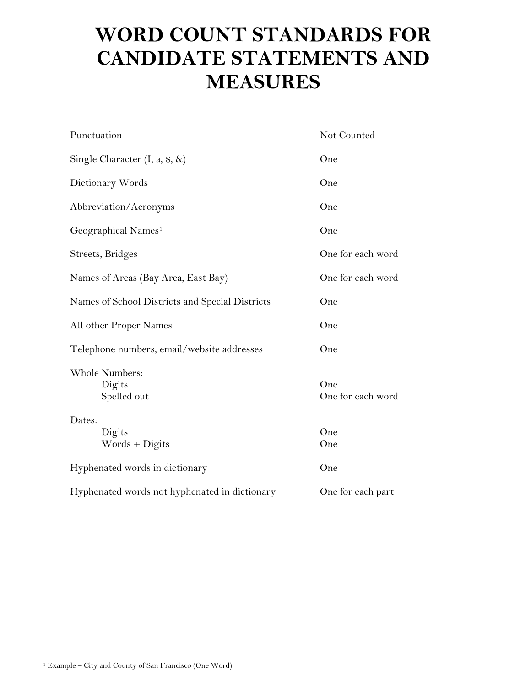# **WORD COUNT STANDARDS FOR CANDIDATE STATEMENTS AND MEASURES**

| Punctuation                                     | Not Counted              |
|-------------------------------------------------|--------------------------|
| Single Character $(I, a, $, \&)$                | One                      |
| Dictionary Words                                | One                      |
| Abbreviation/Acronyms                           | One                      |
| Geographical Names <sup>1</sup>                 | One                      |
| Streets, Bridges                                | One for each word        |
| Names of Areas (Bay Area, East Bay)             | One for each word        |
| Names of School Districts and Special Districts | One                      |
| All other Proper Names                          | One                      |
| Telephone numbers, email/website addresses      | One                      |
| Whole Numbers:<br>Digits<br>Spelled out         | One<br>One for each word |
| Dates:                                          |                          |
| Digits<br>Words + Digits                        | One<br>One               |
| Hyphenated words in dictionary                  | One                      |
| Hyphenated words not hyphenated in dictionary   | One for each part        |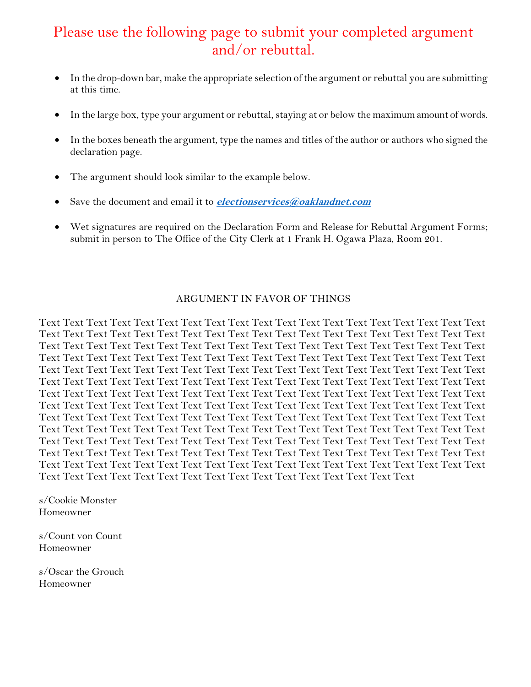## Please use the following page to submit your completed argument and/or rebuttal.

- In the drop-down bar, make the appropriate selection of the argument or rebuttal you are submitting at this time.
- In the large box, type your argument or rebuttal, staying at or below the maximum amount of words.
- In the boxes beneath the argument, type the names and titles of the author or authors who signed the declaration page.
- The argument should look similar to the example below.
- Save the document and email it to **[electionservices@oaklandnet.com](mailto:electionservices@oaklandnet.com)**
- Wet signatures are required on the Declaration Form and Release for Rebuttal Argument Forms; submit in person to The Office of the City Clerk at 1 Frank H. Ogawa Plaza, Room 201.

#### ARGUMENT IN FAVOR OF THINGS

Text Text Text Text Text Text Text Text Text Text Text Text Text Text Text Text Text Text Text Text Text Text Text Text Text Text Text Text Text Text Text Text Text Text Text Text Text Text Text Text Text Text Text Text Text Text Text Text Text Text Text Text Text Text Text Text Text Text Text Text Text Text Text Text Text Text Text Text Text Text Text Text Text Text Text Text Text Text Text Text Text Text Text Text Text Text Text Text Text Text Text Text Text Text Text Text Text Text Text Text Text Text Text Text Text Text Text Text Text Text Text Text Text Text Text Text Text Text Text Text Text Text Text Text Text Text Text Text Text Text Text Text Text Text Text Text Text Text Text Text Text Text Text Text Text Text Text Text Text Text Text Text Text Text Text Text Text Text Text Text Text Text Text Text Text Text Text Text Text Text Text Text Text Text Text Text Text Text Text Text Text Text Text Text Text Text Text Text Text Text Text Text Text Text Text Text Text Text Text Text Text Text Text Text Text Text Text Text Text Text Text Text Text Text Text Text Text Text Text Text Text Text Text Text Text Text Text Text Text Text Text Text Text Text Text Text Text Text Text Text Text Text Text Text Text Text Text Text Text Text Text Text Text Text Text Text Text Text Text Text Text Text Text

s/Cookie Monster Homeowner

s/Count von Count Homeowner

s/Oscar the Grouch Homeowner